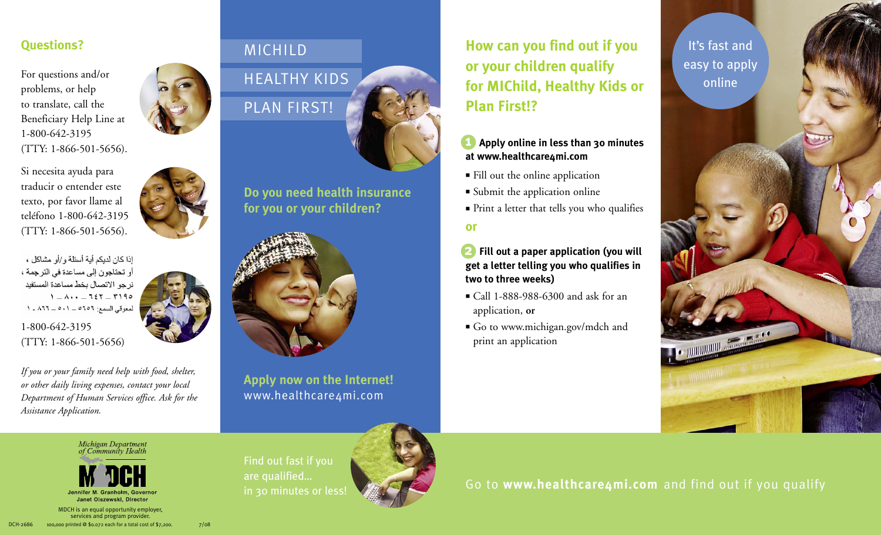For questions and/or problems, or help to translate, call the Beneficiary Help Line at 1-800-642-3195 (TTY: 1-866-501-5656).

Si necesita ayuda para traducir o entender este texto, por favor llame al teléfono 1-800-642-3195 (TTY: 1-866-501-5656).

اذا كان لديكم أية أسئلة و /أو مشاكل ، أو تحتاجون إلى مساعدة في الترجمة ، نرجو الاتصال بخط مساعدة المستفيد  $1 - \Lambda \cdot \cdot$  -  $757 - 7190$ لمعوقى السمع: ٥٦٥٦ \_ ٥٠١ \_ ٨٦٦ \_ ١

1-800-642-3195 (TTY: 1-866-501-5656)

*If you or your family need help with food, shelter, or other daily living expenses, contact your local Department of Human Services office. Ask for the Assistance Application.*

Michigan Department<br>of Community Health

### MICHILD



**Do you need health insurance for you or your children?**



**Apply now on the Internet!** www.healthcare4mi.com

**How can you find out if you Questions?** It's fast and **or your children qualify for MIChild, Healthy Kids or Plan First!?**

#### **Apply online in less than 30 minutes at www.healthcare4mi.com 1**

- $\blacksquare$  Fill out the online application
- Submit the application online
- $\hspace{0.1mm}$  Print a letter that tells you who qualifies

**or**

**2 Fill out a paper application (you will get a letter telling you who qualifies in two to three weeks)**

- Call 1-888-988-6300 and ask for an application, **or**
- Go to www.michigan.gov/mdch and print an application

easy to apply online



Find out fast if you are qualified… in 30 minutes or less!



Go to **www.healthcare4mi.com** and find out if you qualify

MDCH is an equal opportunity employer, services and program provider. DCH-2686 100,000 printed @ \$0.072 each for a total cost of \$7,200.  $\frac{7}{08}$ 

Janet Olszewski, Director